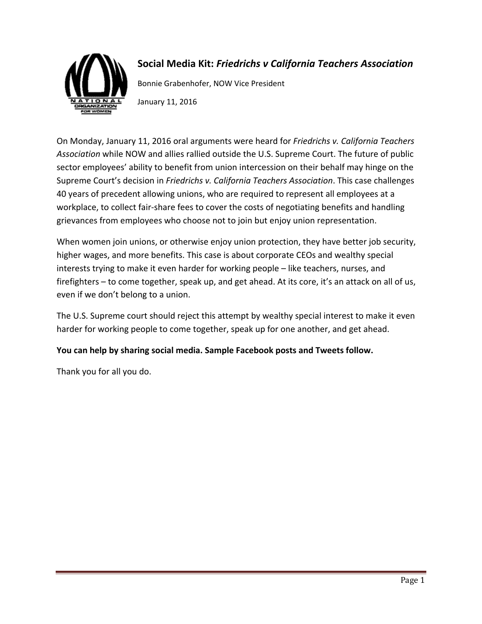

### **Social Media Kit:** *Friedrichs v California Teachers Association*

Bonnie Grabenhofer, NOW Vice President

January 11, 2016

On Monday, January 11, 2016 oral arguments were heard for *Friedrichs v. California Teachers Association* while NOW and allies rallied outside the U.S. Supreme Court. The future of public sector employees' ability to benefit from union intercession on their behalf may hinge on the Supreme Court's decision in *Friedrichs v. California Teachers Association*. This case challenges 40 years of precedent allowing unions, who are required to represent all employees at a workplace, to collect fair-share fees to cover the costs of negotiating benefits and handling grievances from employees who choose not to join but enjoy union representation.

When women join unions, or otherwise enjoy union protection, they have better job security, higher wages, and more benefits. This case is about corporate CEOs and wealthy special interests trying to make it even harder for working people – like teachers, nurses, and firefighters – to come together, speak up, and get ahead. At its core, it's an attack on all of us, even if we don't belong to a union.

The U.S. Supreme court should reject this attempt by wealthy special interest to make it even harder for working people to come together, speak up for one another, and get ahead.

#### **You can help by sharing social media. Sample Facebook posts and Tweets follow.**

Thank you for all you do.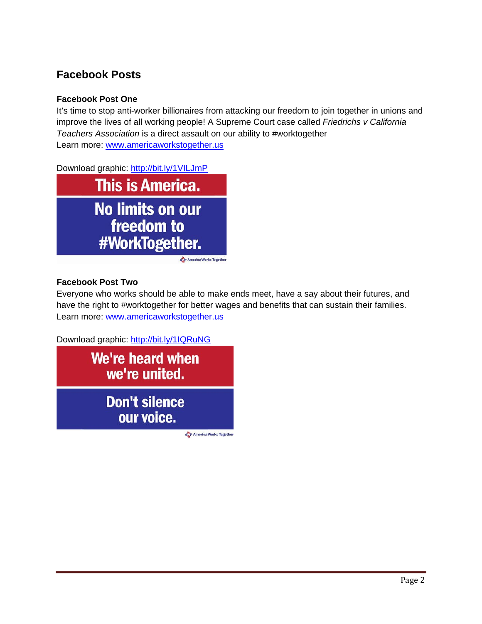# **Facebook Posts**

#### **Facebook Post One**

It's time to stop anti-worker billionaires from attacking our freedom to join together in unions and improve the lives of all working people! A Supreme Court case called *Friedrichs v California Teachers Association* is a direct assault on our ability to #worktogether Learn more: [www.americaworkstogether.us](http://www.americaworkstogether.us/)

Download graphic: <http://bit.ly/1VILJmP>



#### **Facebook Post Two**

Everyone who works should be able to make ends meet, have a say about their futures, and have the right to #worktogether for better wages and benefits that can sustain their families. Learn more: [www.americaworkstogether.us](http://www.americaworkstogether.us/)

Download graphic: <http://bit.ly/1IQRuNG>

We're heard when we're united.

> **Don't silence** our voice.

> > America Works Together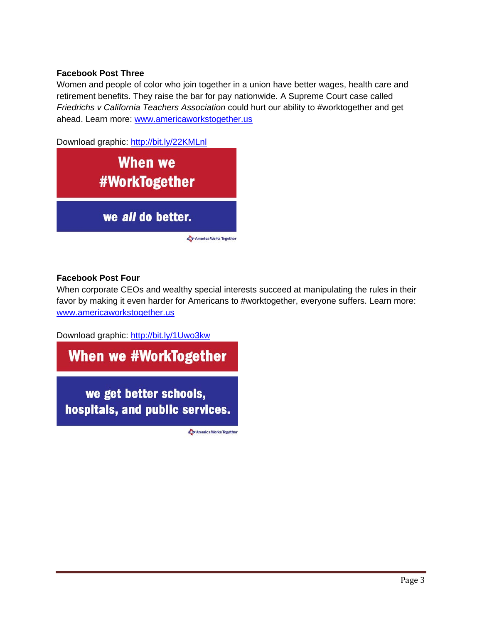#### **Facebook Post Three**

Women and people of color who join together in a union have better wages, health care and retirement benefits. They raise the bar for pay nationwide. A Supreme Court case called *Friedrichs v California Teachers Association* could hurt our ability to #worktogether and get ahead. Learn more: [www.americaworkstogether.us](http://www.americaworkstogether.us/)

Download graphic:<http://bit.ly/22KMLnl>



#### **Facebook Post Four**

When corporate CEOs and wealthy special interests succeed at manipulating the rules in their favor by making it even harder for Americans to #worktogether, everyone suffers. Learn more: [www.americaworkstogether.us](http://www.americaworkstogether.us/)

Download graphic: <http://bit.ly/1Uwo3kw>

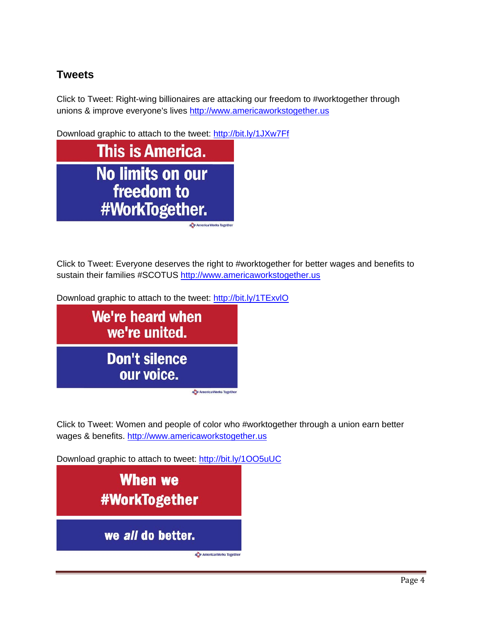# **Tweets**

Click to Tweet: Right-wing billionaires are attacking our freedom to #worktogether through unions & improve everyone's lives [http://www.americaworkstogether.us](http://www.americaworkstogether.us/)

Download graphic to attach to the tweet:<http://bit.ly/1JXw7Ff>



Click to Tweet: Everyone deserves the right to #worktogether for better wages and benefits to sustain their families #SCOTUS [http://www.americaworkstogether.us](http://www.americaworkstogether.us/)

Download graphic to attach to the tweet:<http://bit.ly/1TExvlO>



Click to Tweet: Women and people of color who #worktogether through a union earn better wages & benefits. [http://www.americaworkstogether.us](http://www.americaworkstogether.us/)

Download graphic to attach to tweet:<http://bit.ly/1OO5uUC>

**When we #WorkTogether** we all do better. & America Works Together